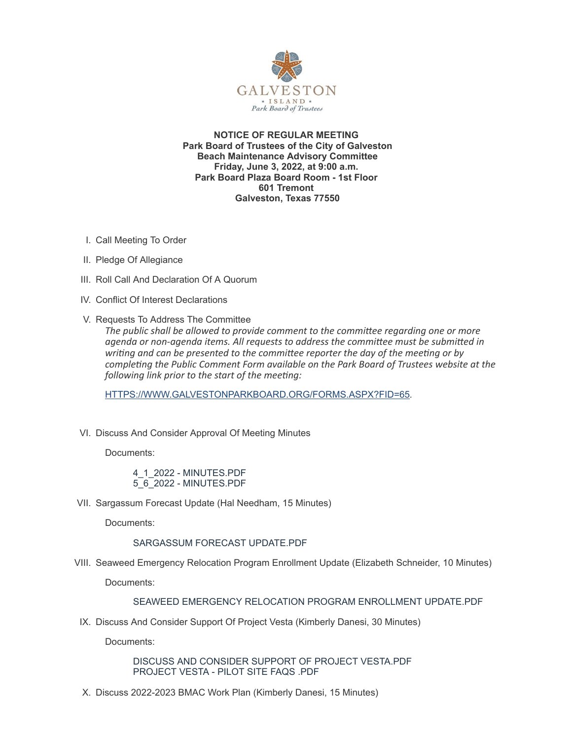

**NOTICE OF REGULAR MEETING Park Board of Trustees of the City of Galveston Beach Maintenance Advisory Committee Friday, June 3, 2022, at 9:00 a.m. Park Board Plaza Board Room - 1st Floor 601 Tremont Galveston, Texas 77550**

- I. Call Meeting To Order
- II. Pledge Of Allegiance
- III. Roll Call And Declaration Of A Quorum
- IV. Conflict Of Interest Declarations
- V. Requests To Address The Committee

*The public shall be allowed to provide comment to the committee regarding one or more agenda or non-agenda items. All requests to address the committee must be submitted in writing and can be presented to the committee reporter the day of the meeting or by completing the Public Comment Form available on the Park Board of Trustees website at the following link prior to the start of the meeting:*

[HTTPS://WWW.GALVESTONPARKBOARD.ORG/FORMS.ASPX?FID=65](https://www.galvestonparkboard.org/forms.aspx?FID=65)*.*

VI. Discuss And Consider Approval Of Meeting Minutes

Documents:

4\_1\_2022 - [MINUTES.PDF](https://www.galvestonparkboard.org/AgendaCenter/ViewFile/Item/7775?fileID=11912) 5\_6\_2022 - [MINUTES.PDF](https://www.galvestonparkboard.org/AgendaCenter/ViewFile/Item/7775?fileID=11969)

VII. Sargassum Forecast Update (Hal Needham, 15 Minutes)

Documents:

[SARGASSUM](https://www.galvestonparkboard.org/AgendaCenter/ViewFile/Item/7755?fileID=11907) FORECAST UPDATE.PDF

VIII. Seaweed Emergency Relocation Program Enrollment Update (Elizabeth Schneider, 10 Minutes)

Documents:

## SEAWEED EMERGENCY RELOCATION PROGRAM [ENROLLMENT](https://www.galvestonparkboard.org/AgendaCenter/ViewFile/Item/7756?fileID=11908) UPDATE.PDF

IX. Discuss And Consider Support Of Project Vesta (Kimberly Danesi, 30 Minutes)

Documents:

DISCUSS AND CONSIDER SUPPORT OF PROJECT [VESTA.PDF](https://www.galvestonparkboard.org/AgendaCenter/ViewFile/Item/7777?fileID=11973) [PROJECT](https://www.galvestonparkboard.org/AgendaCenter/ViewFile/Item/7777?fileID=11974) VESTA - PILOT SITE FAQS .PDF

X. Discuss 2022-2023 BMAC Work Plan (Kimberly Danesi, 15 Minutes)